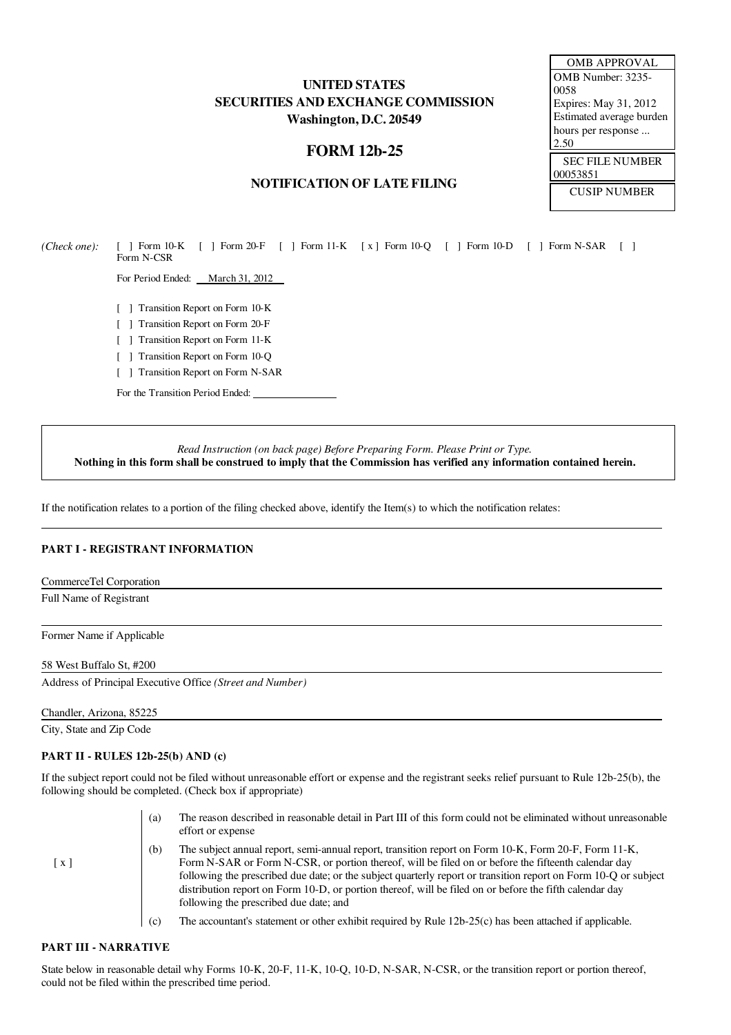# UNITED STATES SECURITIES AND EXCHANGE COMMISSION Washington, D.C. 20549

# FORM 12b-25

## NOTIFICATION OF LATE FILING

OMB APPROVAL OMB Number: 3235- 0058 Expires: May 31, 2012 Estimated average burden hours per response ... 2.50 SEC FILE NUMBER 00053851

CUSIP NUMBER

*(Check one):* [ ] Form 10-K [ ] Form 20-F [ ] Form 11-K [ x ] Form 10-Q [ ] Form 10-D [ ] Form N-SAR [ ] Form N-CSR

For Period Ended: March 31, 2012

- [ ] Transition Report on Form 10-K
- [ ] Transition Report on Form 20-F
- [ ] Transition Report on Form 11-K
- [ ] Transition Report on Form 10-Q
- [ ] Transition Report on Form N-SAR

For the Transition Period Ended:

*Read Instruction (on back page) Before Preparing Form. Please Print or Type.* Nothing in this form shall be construed to imply that the Commission has verified any information contained herein.

If the notification relates to a portion of the filing checked above, identify the Item(s) to which the notification relates:

## PART I - REGISTRANT INFORMATION

CommerceTel Corporation

Full Name of Registrant

Former Name if Applicable

#### 58 West Buffalo St, #200

Address of Principal Executive Office *(Street and Number)*

| Chandler, Arizona, 85225 |  |  |
|--------------------------|--|--|
|                          |  |  |

City, State and Zip Code

#### PART II - RULES 12b-25(b) AND (c)

If the subject report could not be filed without unreasonable effort or expense and the registrant seeks relief pursuant to Rule 12b-25(b), the following should be completed. (Check box if appropriate)

- $\lceil x \rceil$ The reason described in reasonable detail in Part III of this form could not be eliminated without unreasonable effort or expense The subject annual report, semi-annual report, transition report on Form 10-K, Form 20-F, Form 11-K, Form N-SAR or Form N-CSR, or portion thereof, will be filed on or before the fifteenth calendar day following the prescribed due date; or the subject quarterly report or transition report on Form 10-Q or subject distribution report on Form 10-D, or portion thereof, will be filed on or before the fifth calendar day following the prescribed due date; and
	- (c) The accountant's statement or other exhibit required by Rule 12b-25(c) has been attached if applicable.

## PART III - NARRATIVE

State below in reasonable detail why Forms 10-K, 20-F, 11-K, 10-Q, 10-D, N-SAR, N-CSR, or the transition report or portion thereof, could not be filed within the prescribed time period.